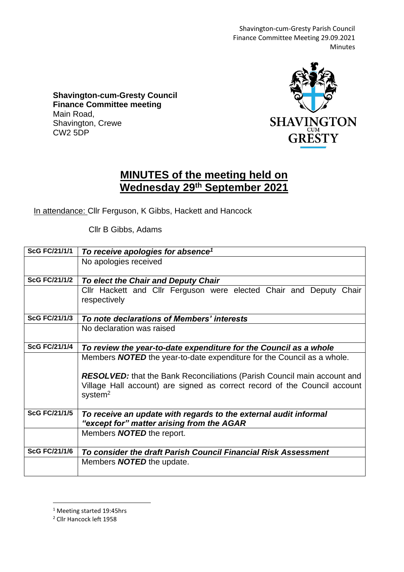Shavington-cum-Gresty Parish Council Finance Committee Meeting 29.09.2021 Minutes

**Shavington-cum-Gresty Council Finance Committee meeting** Main Road, Shavington, Crewe CW2 5DP



## **MINUTES of the meeting held on Wednesday 29th September 2021**

In attendance: Cllr Ferguson, K Gibbs, Hackett and Hancock

Cllr B Gibbs, Adams

| <b>ScG FC/21/1/1</b> | To receive apologies for absence <sup>1</sup>                                                                 |
|----------------------|---------------------------------------------------------------------------------------------------------------|
|                      | No apologies received                                                                                         |
| <b>ScG FC/21/1/2</b> | To elect the Chair and Deputy Chair                                                                           |
|                      | Cllr Hackett and Cllr Ferguson were elected Chair and Deputy Chair<br>respectively                            |
| <b>ScG FC/21/1/3</b> | To note declarations of Members' interests                                                                    |
|                      | No declaration was raised                                                                                     |
| <b>ScG FC/21/1/4</b> | To review the year-to-date expenditure for the Council as a whole                                             |
|                      | Members <b>NOTED</b> the year-to-date expenditure for the Council as a whole.                                 |
|                      | <b>RESOLVED:</b> that the Bank Reconciliations (Parish Council main account and                               |
|                      | Village Hall account) are signed as correct record of the Council account<br>system <sup>2</sup>              |
| <b>ScG FC/21/1/5</b> | To receive an update with regards to the external audit informal<br>"except for" matter arising from the AGAR |
|                      | Members <b>NOTED</b> the report.                                                                              |
| <b>ScG FC/21/1/6</b> | To consider the draft Parish Council Financial Risk Assessment                                                |
|                      | Members <b>NOTED</b> the update.                                                                              |

<sup>1</sup> Meeting started 19:45hrs

<sup>2</sup> Cllr Hancock left 1958